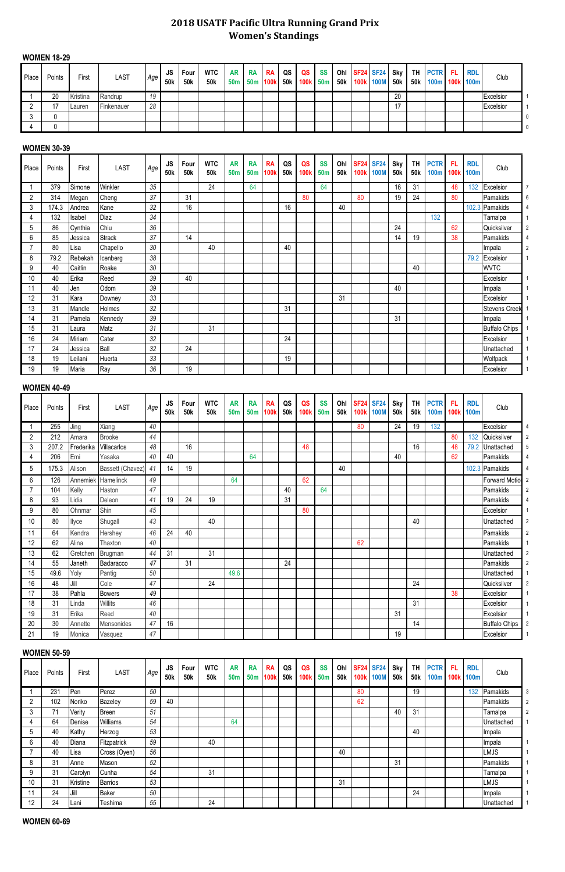# **2018 USATF Pacific Ultra Running Grand Prix Women's Standings**

### **WOMEN 18-29**

| Place | Points | First    | <b>LAST</b> | Age | JS.<br><b>50k</b> | Four<br>50k | <b>WTC</b><br>50 <sub>k</sub> | <b>AR</b><br><b>50m</b> | IRA<br>50m 100k | <b>RA</b> | QS<br>k 50k | QS<br>100k 50m | <b>SS</b> | <b>50k</b> | Ohl SF24 SF24 Sky | 100k 100M | <b>50k</b> | TH PCTR FL RDL<br>50k   100m   100k   100m |  | Club      |  |
|-------|--------|----------|-------------|-----|-------------------|-------------|-------------------------------|-------------------------|-----------------|-----------|-------------|----------------|-----------|------------|-------------------|-----------|------------|--------------------------------------------|--|-----------|--|
|       | 20     | Kristina | Randrup     | 19  |                   |             |                               |                         |                 |           |             |                |           |            |                   |           | 20         |                                            |  | Excelsior |  |
|       | 17     | Lauren   | Finkenauer  | 28  |                   |             |                               |                         |                 |           |             |                |           |            |                   |           |            |                                            |  | Excelsior |  |
|       |        |          |             |     |                   |             |                               |                         |                 |           |             |                |           |            |                   |           |            |                                            |  |           |  |
|       |        |          |             |     |                   |             |                               |                         |                 |           |             |                |           |            |                   |           |            |                                            |  |           |  |

## **WOMEN 30-39**

| Place | Points | First   | <b>LAST</b>   | Age | <b>JS</b><br><b>50k</b> | Four<br>50 <sub>k</sub> | <b>WTC</b><br><b>50k</b> | <b>AR</b><br><b>50m</b> | <b>RA</b><br><b>50m</b> | <b>RA</b><br>100k | QS<br>50 <sub>k</sub> | QS<br>100k | <b>SS</b><br><b>50m</b> | Ohl<br>50 <sub>k</sub> | <b>100k</b> | <b>SF24 SF24</b><br><b>100M</b> | Sky<br><b>50k</b> | <b>TH</b><br>50 <sub>k</sub> | <b>PCTR</b><br><b>100m</b> | -FL<br>100k | <b>RDL</b><br><b>100m</b> | Club                 |                |
|-------|--------|---------|---------------|-----|-------------------------|-------------------------|--------------------------|-------------------------|-------------------------|-------------------|-----------------------|------------|-------------------------|------------------------|-------------|---------------------------------|-------------------|------------------------------|----------------------------|-------------|---------------------------|----------------------|----------------|
|       | 379    | Simone  | Winkler       | 35  |                         |                         | 24                       |                         | 64                      |                   |                       |            | 64                      |                        |             |                                 | 16                | 31                           |                            | 48          | 132                       | Excelsior            |                |
| 2     | 314    | Megan   | Cheng         | 37  |                         | 31                      |                          |                         |                         |                   |                       | 80         |                         |                        | 80          |                                 | 19                | 24                           |                            | 80          |                           | Pamakids             | 6              |
| 3     | 174.3  | Andrea  | Kane          | 32  |                         | 16                      |                          |                         |                         |                   | 16                    |            |                         | 40                     |             |                                 |                   |                              |                            |             |                           | 102.3 Pamakids       |                |
|       | 132    | Isabel  | Diaz          | 34  |                         |                         |                          |                         |                         |                   |                       |            |                         |                        |             |                                 |                   |                              | 132                        |             |                           | Tamalpa              |                |
| 5     | 86     | Cynthia | Chiu          | 36  |                         |                         |                          |                         |                         |                   |                       |            |                         |                        |             |                                 | 24                |                              |                            | 62          |                           | Quicksilver          |                |
| 6     | 85     | Jessica | <b>Strack</b> | 37  |                         | 14                      |                          |                         |                         |                   |                       |            |                         |                        |             |                                 | 14                | 19                           |                            | 38          |                           | Pamakids             |                |
|       | 80     | Lisa    | Chapello      | 30  |                         |                         | 40                       |                         |                         |                   | 40                    |            |                         |                        |             |                                 |                   |                              |                            |             |                           | Impala               | $\overline{2}$ |
| 8     | 79.2   | Rebekah | Icenberg      | 38  |                         |                         |                          |                         |                         |                   |                       |            |                         |                        |             |                                 |                   |                              |                            |             | 79.2                      | Excelsior            |                |
| 9     | 40     | Caitlin | Roake         | 30  |                         |                         |                          |                         |                         |                   |                       |            |                         |                        |             |                                 |                   | 40                           |                            |             |                           | <b>WVTC</b>          |                |
| 10    | 40     | Erika   | Reed          | 39  |                         | 40                      |                          |                         |                         |                   |                       |            |                         |                        |             |                                 |                   |                              |                            |             |                           | Excelsior            |                |
|       | 40     | Jen     | Odom          | 39  |                         |                         |                          |                         |                         |                   |                       |            |                         |                        |             |                                 | 40                |                              |                            |             |                           | Impala               |                |
| 12    | 31     | Kara    | Downey        | 33  |                         |                         |                          |                         |                         |                   |                       |            |                         | 31                     |             |                                 |                   |                              |                            |             |                           | Excelsior            |                |
| 13    | 31     | Mandle  | Holmes        | 32  |                         |                         |                          |                         |                         |                   | 31                    |            |                         |                        |             |                                 |                   |                              |                            |             |                           | <b>Stevens Creek</b> |                |
| 14    | 31     | Pamela  | Kennedy       | 39  |                         |                         |                          |                         |                         |                   |                       |            |                         |                        |             |                                 | 31                |                              |                            |             |                           | Impala               |                |
| 15    | 31     | Laura   | Matz          | 31  |                         |                         | 31                       |                         |                         |                   |                       |            |                         |                        |             |                                 |                   |                              |                            |             |                           | <b>Buffalo Chips</b> |                |
| 16    | 24     | Miriam  | Cater         | 32  |                         |                         |                          |                         |                         |                   | 24                    |            |                         |                        |             |                                 |                   |                              |                            |             |                           | Excelsior            |                |
| 17    | 24     | Jessica | Ball          | 32  |                         | 24                      |                          |                         |                         |                   |                       |            |                         |                        |             |                                 |                   |                              |                            |             |                           | Unattached           |                |
| 18    | 19     | Leilani | Huerta        | 33  |                         |                         |                          |                         |                         |                   | 19                    |            |                         |                        |             |                                 |                   |                              |                            |             |                           | Wolfpack             |                |
| 19    | 19     | Maria   | Ray           | 36  |                         | 19                      |                          |                         |                         |                   |                       |            |                         |                        |             |                                 |                   |                              |                            |             |                           | Excelsior            |                |

# **WOMEN 40-49**

| Place          | Points | First     | <b>LAST</b>      | Age | <b>JS</b><br><b>50k</b> | Four<br><b>50k</b> | <b>WTC</b><br><b>50k</b> | <b>AR</b><br><b>50m</b> | <b>RA</b><br>50 <sub>m</sub> | <b>RA</b><br>1001 | QS<br>50 <sub>k</sub> | QS<br>100k | <b>SS</b><br>50 <sub>m</sub> | Ohl<br><b>50k</b> | <b>SF24</b><br><b>100k</b> | <b>SF24</b><br><b>100M</b> | Sky<br><b>50k</b> | <b>TH</b><br><b>50k</b> | <b>PCTR</b><br><b>100m</b> | -FL<br><b>100k</b> | <b>RDL</b><br><b>100m</b> | Club                  |                |
|----------------|--------|-----------|------------------|-----|-------------------------|--------------------|--------------------------|-------------------------|------------------------------|-------------------|-----------------------|------------|------------------------------|-------------------|----------------------------|----------------------------|-------------------|-------------------------|----------------------------|--------------------|---------------------------|-----------------------|----------------|
|                | 255    | Jing      | Xiang            | 40  |                         |                    |                          |                         |                              |                   |                       |            |                              |                   | 80                         |                            | 24                | 19                      | 132                        |                    |                           | Excelsior             |                |
| $\overline{2}$ | 212    | Amara     | <b>Brooke</b>    | 44  |                         |                    |                          |                         |                              |                   |                       |            |                              |                   |                            |                            |                   |                         |                            | 80                 | 132                       | Quicksilver           | $\overline{2}$ |
| 3              | 207.2  | Frederika | Villacarlos      | 48  |                         | 16                 |                          |                         |                              |                   |                       | 48         |                              |                   |                            |                            |                   | 16                      |                            | 48                 | 79.2                      | Unattached            |                |
|                | 206    | Emi       | Yasaka           | 40  | 40                      |                    |                          |                         | 64                           |                   |                       |            |                              |                   |                            |                            | 40                |                         |                            | 62                 |                           | Pamakids              |                |
| 5              | 175.3  | Alison    | Bassett (Chavez) | 41  | 14                      | 19                 |                          |                         |                              |                   |                       |            |                              | 40                |                            |                            |                   |                         |                            |                    |                           | 102.3 Pamakids        |                |
| 6              | 126    | Annemiek  | Hamelinck        | 49  |                         |                    |                          | 64                      |                              |                   |                       | 62         |                              |                   |                            |                            |                   |                         |                            |                    |                           | <b>Forward Motiol</b> |                |
| 7              | 104    | Kelly     | Haston           | 47  |                         |                    |                          |                         |                              |                   | 40                    |            | 64                           |                   |                            |                            |                   |                         |                            |                    |                           | Pamakids              | $\overline{2}$ |
| 8              | 93     | Lidia     | Deleon           | 41  | 19                      | 24                 | 19                       |                         |                              |                   | 31                    |            |                              |                   |                            |                            |                   |                         |                            |                    |                           | Pamakids              |                |
| 9              | 80     | Ohnmar    | Shin             | 45  |                         |                    |                          |                         |                              |                   |                       | 80         |                              |                   |                            |                            |                   |                         |                            |                    |                           | Excelsior             |                |
| 10             | 80     | Ilyce     | Shugall          | 43  |                         |                    | 40                       |                         |                              |                   |                       |            |                              |                   |                            |                            |                   | 40                      |                            |                    |                           | Unattached            | 2              |
| 11             | 64     | Kendra    | Hershey          | 46  | 24                      | 40                 |                          |                         |                              |                   |                       |            |                              |                   |                            |                            |                   |                         |                            |                    |                           | Pamakids              | $\overline{2}$ |
| 12             | 62     | Alina     | Thaxton          | 40  |                         |                    |                          |                         |                              |                   |                       |            |                              |                   | 62                         |                            |                   |                         |                            |                    |                           | Pamakids              |                |
| 13             | 62     | Gretchen  | Brugman          | 44  | 31                      |                    | 31                       |                         |                              |                   |                       |            |                              |                   |                            |                            |                   |                         |                            |                    |                           | Unattached            | $\overline{2}$ |
| 14             | 55     | Janeth    | Badaracco        | 47  |                         | 31                 |                          |                         |                              |                   | 24                    |            |                              |                   |                            |                            |                   |                         |                            |                    |                           | Pamakids              | $\overline{2}$ |
| 15             | 49.6   | Yoly      | Pantig           | 50  |                         |                    |                          | 49.6                    |                              |                   |                       |            |                              |                   |                            |                            |                   |                         |                            |                    |                           | Unattached            |                |
| 16             | 48     | Jill      | Cole             | 47  |                         |                    | 24                       |                         |                              |                   |                       |            |                              |                   |                            |                            |                   | 24                      |                            |                    |                           | Quicksilver           | $\overline{2}$ |
| 17             | 38     | Pahla     | <b>Bowers</b>    | 49  |                         |                    |                          |                         |                              |                   |                       |            |                              |                   |                            |                            |                   |                         |                            | 38                 |                           | Excelsior             |                |
| 18             | 31     | Linda     | Willits          | 46  |                         |                    |                          |                         |                              |                   |                       |            |                              |                   |                            |                            |                   | 31                      |                            |                    |                           | Excelsior             |                |
| 19             | 31     | Erika     | Reed             | 40  |                         |                    |                          |                         |                              |                   |                       |            |                              |                   |                            |                            | 31                |                         |                            |                    |                           | Excelsior             |                |
| 20             | 30     | Annette   | Mensonides       | 47  | 16                      |                    |                          |                         |                              |                   |                       |            |                              |                   |                            |                            |                   | 14                      |                            |                    |                           | <b>Buffalo Chips</b>  |                |
| 21             | 19     | Monica    | Vasquez          | 47  |                         |                    |                          |                         |                              |                   |                       |            |                              |                   |                            |                            | 19                |                         |                            |                    |                           | Excelsior             |                |

#### **WOMEN 50-59**

| Place | Points | First    | <b>LAST</b>  | Age | <b>JS</b><br><b>50k</b> | Four<br>50 <sub>k</sub> | <b>WTC</b><br><b>50k</b> | <b>AR</b><br><b>50m</b> | <b>RA</b><br>50 <sub>m</sub> | <b>RA</b><br><b>100k</b> | QS<br>50 <sub>k</sub> | QS<br>100k | <b>SS</b><br>50 <sub>m</sub> | Ohl<br>50 <sub>k</sub> | <b>SF24 SF24</b><br><b>100k</b> | <b>100M</b> | <b>Sky</b><br>50 <sub>k</sub> | <b>TH</b><br>50 <sub>k</sub> | <b>PCTR</b><br><b>100m</b> | FL<br>100k | <b>RDL</b><br>100m | Club        |                |
|-------|--------|----------|--------------|-----|-------------------------|-------------------------|--------------------------|-------------------------|------------------------------|--------------------------|-----------------------|------------|------------------------------|------------------------|---------------------------------|-------------|-------------------------------|------------------------------|----------------------------|------------|--------------------|-------------|----------------|
|       | 231    | Pen      | Perez        | 50  |                         |                         |                          |                         |                              |                          |                       |            |                              |                        | 80                              |             |                               | 19                           |                            |            | 132                | Pamakids    | 3              |
|       | 102    | Noriko   | Bazeley      | 59  | 40                      |                         |                          |                         |                              |                          |                       |            |                              |                        | 62                              |             |                               |                              |                            |            |                    | Pamakids    | 2              |
|       | 71     | Verity   | Breen        | 51  |                         |                         |                          |                         |                              |                          |                       |            |                              |                        |                                 |             | 40                            | 31                           |                            |            |                    | Tamalpa     | $\overline{2}$ |
| 4     | 64     | Denise   | Williams     | 54  |                         |                         |                          | 64                      |                              |                          |                       |            |                              |                        |                                 |             |                               |                              |                            |            |                    | Unattached  |                |
|       | 40     | Kathy    | Herzog       | 53  |                         |                         |                          |                         |                              |                          |                       |            |                              |                        |                                 |             |                               | 40                           |                            |            |                    | Impala      |                |
| h     | 40     | Diana    | Fitzpatrick  | 59  |                         |                         | 40                       |                         |                              |                          |                       |            |                              |                        |                                 |             |                               |                              |                            |            |                    | Impala      |                |
|       | 40     | ILisa    | Cross (Oyen) | 56  |                         |                         |                          |                         |                              |                          |                       |            |                              | 40                     |                                 |             |                               |                              |                            |            |                    | <b>LMJS</b> |                |
| 8     | 31     | Anne     | Mason        | 52  |                         |                         |                          |                         |                              |                          |                       |            |                              |                        |                                 |             | 31                            |                              |                            |            |                    | Pamakids    |                |
|       | 31     | Carolyn  | Cunha        | 54  |                         |                         | 31                       |                         |                              |                          |                       |            |                              |                        |                                 |             |                               |                              |                            |            |                    | Tamalpa     |                |
| 10    | 31     | Kristine | Barrios      | 53  |                         |                         |                          |                         |                              |                          |                       |            |                              | 31                     |                                 |             |                               |                              |                            |            |                    | LMJS        |                |
|       | 24     | Jill     | Baker        | 50  |                         |                         |                          |                         |                              |                          |                       |            |                              |                        |                                 |             |                               | 24                           |                            |            |                    | Impala      |                |
| 12    | 24     | Lani     | Teshima      | 55  |                         |                         | 24                       |                         |                              |                          |                       |            |                              |                        |                                 |             |                               |                              |                            |            |                    | Unattached  |                |

## **WOMEN 60-69**